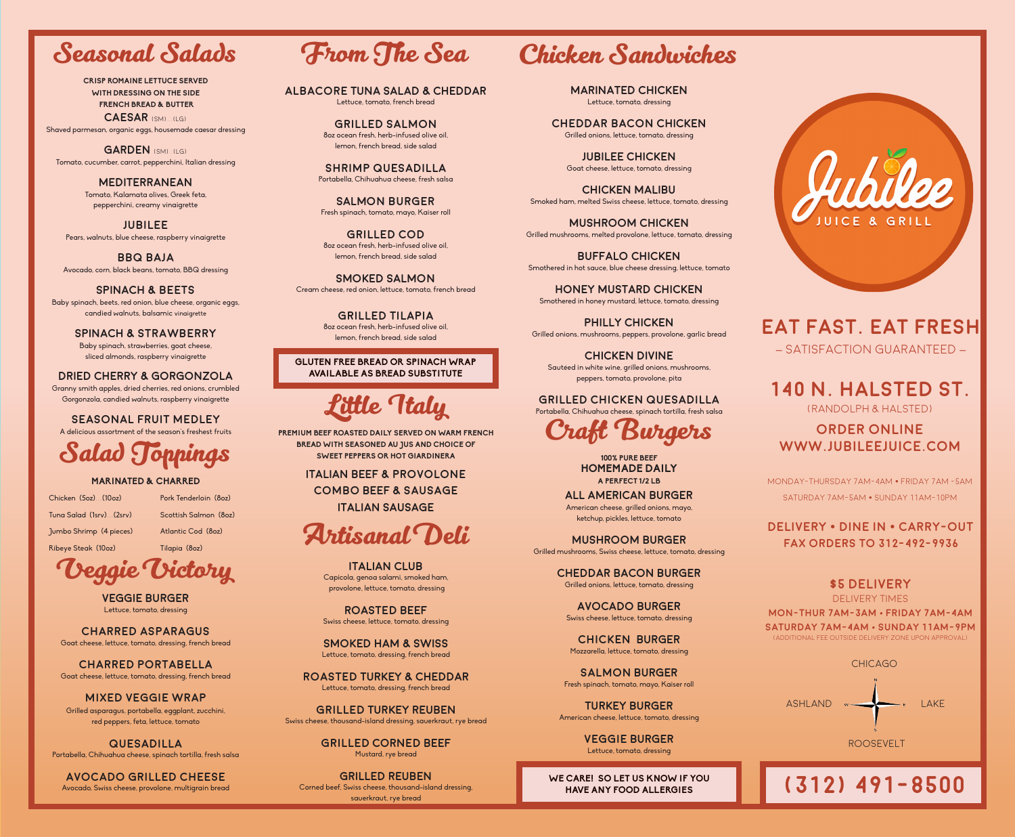**MARINATED CHICKEN** Lettuce, tomato, dressing

**Cheddar bacon cHICKEN** Grilled onions, lettuce, tomato, dressing

**JUBILEE CHICKEN** Goat cheese, lettuce, tomato, dressing

**CHICKEN MALIBU** Smoked ham, melted Swiss cheese, lettuce, tomato, dressing

**MUSHROOM CHICKEN** Grilled mushrooms, melted provolone, lettuce, tomato, dressing

**BUFFALO CHICKEN** Smothered in hot sauce, blue cheese dressing, lettuce, tomato

**HONEY MUSTARD CHICKEN** Smothered in honey mustard, lettuce, tomato, dressing

**PHILLY CHICKEN** Grilled onions, mushrooms, peppers, provolone, garlic bread

**CHICKEN DIVINE** Sautéed in white wine, grilled onions, mushrooms, peppers, tomato, provolone, pita

### **grilled chicken quesadilla**

Portabella, Chihuahua cheese, spinach tortilla, fresh salsa

CAESAR (SM)...(lg) Shaved parmesan, organic eggs, housemade caesar dressing

# **140 n. halsted st.**

(randolph & halsted)

### **Order online www.jubileejuice.com**

monday-thursday 7am-4am • Friday 7am -5am saturday 7am-5am • sunday 11am-10pm

### **delivery • dine in • carry-out fax orders to 312-492-9936**

# Seasonal Salads

Salad Toppings

# From The Sea Chicken Sandwiches



Veggie Victory

**CRISP ROMAINE LETTUCE SERVED WITH DRESSING ON THE SIDE FRENCH BREAD & BUTTER**

> **PREMIUM BEEF ROASTED DAILY SERVED ON WARM FRENCH BREAD WITH SEASONED AU JUS AND CHOICE OF SWEET PEPPERS OR HOT GIARDINERA 100% PURE BEEF**

**HOMEMADE DAILY**

**GARDEN** (sm)..(lg) Tomato, cucumber, carrot, pepperchini, Italian dressing

### **MEDITERRANEAN**

Tomato, Kalamata olives, Greek feta, pepperchini, creamy vinaigrette

> **MUSHROOM BURGER** Grilled mushrooms, Swiss cheese, lettuce, tomato, dressing

**Jubilee** Pears, walnuts, blue cheese, raspberry vinaigrette

**bbq baja** Avocado, corn, black beans, tomato, BBQ dressing

**SPINACH & beets** Baby spinach, beets, red onion, blue cheese, organic eggs, candied walnuts, balsamic vinaigrette

> **MARINATED & CHARRED A PERFECT 1/2 LB ITALIAN BEEF & provolone combo BEEF & sausage ITALIAN SAUSAGE**

**SPINACH & strawberry** Baby spinach, strawberries, goat cheese, sliced almonds, raspberry vinaigrette

**DRIED CHERRY & GORGONZOLA** Granny smith apples, dried cherries, red onions, crumbled Gorgonzola, candied walnuts, raspberry vinaigrette

#### **seasonal fruit medley** A delicious assortment of the season's freshest fruits

**VEGGIE BURGER** Lettuce, tomato, dressing

**charred asparagus** Goat cheese, lettuce, tomato, dressing, french bread

**charred portabella** Goat cheese, lettuce, tomato, dressing, french bread

**mixed veggie wrap** Grilled asparagus, portabella, eggplant, zucchini, red peppers, feta, lettuce, tomato

**quesadilla** Portabella, Chihuahua cheese, spinach tortilla, fresh salsa

**avocado grilled cheese** Avocado, Swiss cheese, provolone, multigrain bread

# – satisfaction guaranteed – **eat fast. eat fresh**

**UICE & GRII** 

**ITALIAN CLUB** Capicola, genoa salami, smoked ham, provolone, lettuce, tomato, dressing

**ROASTed BEEF** Swiss cheese, lettuce, tomato, dressing

**SMOKED HAM & SWISS** Lettuce, tomato, dressing, french bread

**roasted TURKEY & CHEDDAR** Lettuce, tomato, dressing, french bread

**grilled TURKEY REUBEN** Swiss cheese, thousand-island dressing, sauerkraut, rye bread

> **grilled CORNed BEEF** Mustard, rye bread

**GRILLED REUBEN** Corned beef, Swiss cheese, thousand-island dressing, sauerkraut, rye bread

**ALL AMERICAN BURGER**

American cheese, grilled onions, mayo, ketchup, pickles, lettuce, tomato

**CHEDDAR BACON BURGER** Grilled onions, lettuce, tomato, dressing

**AVOCADO BURGER** Swiss cheese, lettuce, tomato, dressing

**chicken BURGER** Mozzarella, lettuce, tomato, dressing

**salmon BURGER** Fresh spinach, tomato, mayo, Kaiser roll

**TURKEY BURGER** American cheese, lettuce, tomato, dressing

**Veggie BURGER** Lettuce, tomato, dressing

#### **albacore TUNA SALAD & CHEDDAR**  Lettuce, tomato, french bread

**grilled salmon** 8oz ocean fresh, herb-infused olive oil, lemon, french bread, side salad

**shrimp quesadilla** Portabella, Chihuahua cheese, fresh salsa

**SALMOn burger** Fresh spinach, tomato, mayo, Kaiser roll

**grilled cod** 8oz ocean fresh, herb-infused olive oil, lemon, french bread, side salad

**SMOKED SALMOn** Cream cheese, red onion, lettuce, tomato, french bread

> **grilled tilapia** 8oz ocean fresh, herb-infused olive oil, lemon, french bread, side salad

Chicken (5oz)...(10oz) Tuna Salad (1srv)...(2srv) Jumbo Shrimp (4 pieces) Ribeye Steak (10oz)

Pork Tenderloin (8oz)

Scottish Salmon (8oz) Atlantic Cod (8oz)

# Tilapia (8oz)

**GLUTEN FREE BREAD OR SPINACH WRAP AVAILABLE AS BREAD SUBSTITUTE**

**WE CARE! SO LET US KNOW IF YOU HAVE ANY FOOD ALLERGIES**

# Artisanal Deli

# **(312) 491-8500**

### **\$5 delivery**

delivery times

**mon-thur 7am-3am • friday 7am-4am saturday 7am-4am • sunday 11am-9pm** (additional fee outside delivery zone upon approval)

#### **CHICAGO**

ASHLAND were examined to LAKE

roosevelt